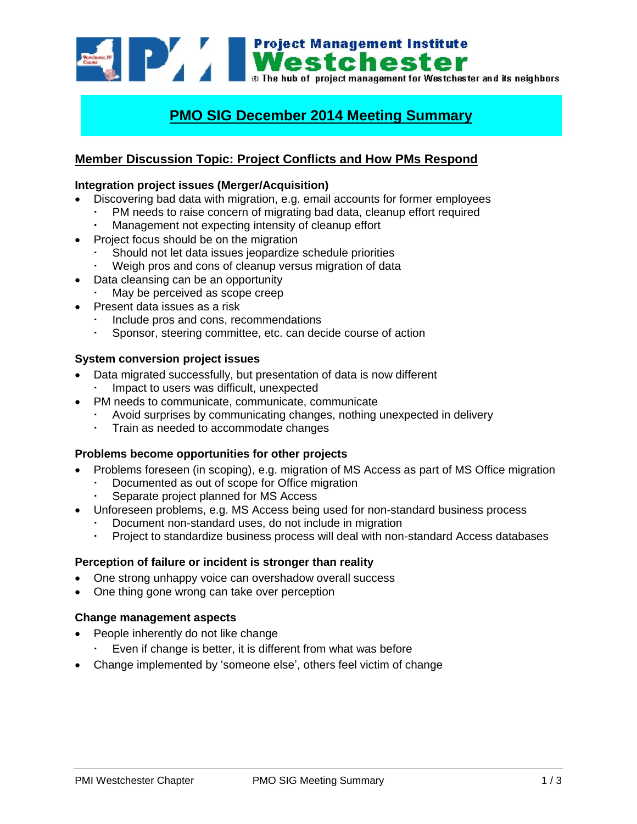

# **PMO SIG December 2014 Meeting Summary**

# **Member Discussion Topic: Project Conflicts and How PMs Respond**

#### **Integration project issues (Merger/Acquisition)**

- Discovering bad data with migration, e.g. email accounts for former employees
	- PM needs to raise concern of migrating bad data, cleanup effort required
	- Management not expecting intensity of cleanup effort
- Project focus should be on the migration
	- Should not let data issues jeopardize schedule priorities
	- Weigh pros and cons of cleanup versus migration of data
- Data cleansing can be an opportunity
	- May be perceived as scope creep
- Present data issues as a risk
	- Include pros and cons, recommendations
	- Sponsor, steering committee, etc. can decide course of action

#### **System conversion project issues**

- Data migrated successfully, but presentation of data is now different Impact to users was difficult, unexpected
- PM needs to communicate, communicate, communicate
	- Avoid surprises by communicating changes, nothing unexpected in delivery
	- Train as needed to accommodate changes

# **Problems become opportunities for other projects**

- Problems foreseen (in scoping), e.g. migration of MS Access as part of MS Office migration
	- Documented as out of scope for Office migration
	- Separate project planned for MS Access
- Unforeseen problems, e.g. MS Access being used for non-standard business process
	- Document non-standard uses, do not include in migration
	- Project to standardize business process will deal with non-standard Access databases

#### **Perception of failure or incident is stronger than reality**

- One strong unhappy voice can overshadow overall success
- One thing gone wrong can take over perception

#### **Change management aspects**

- People inherently do not like change
	- Even if change is better, it is different from what was before
- Change implemented by 'someone else', others feel victim of change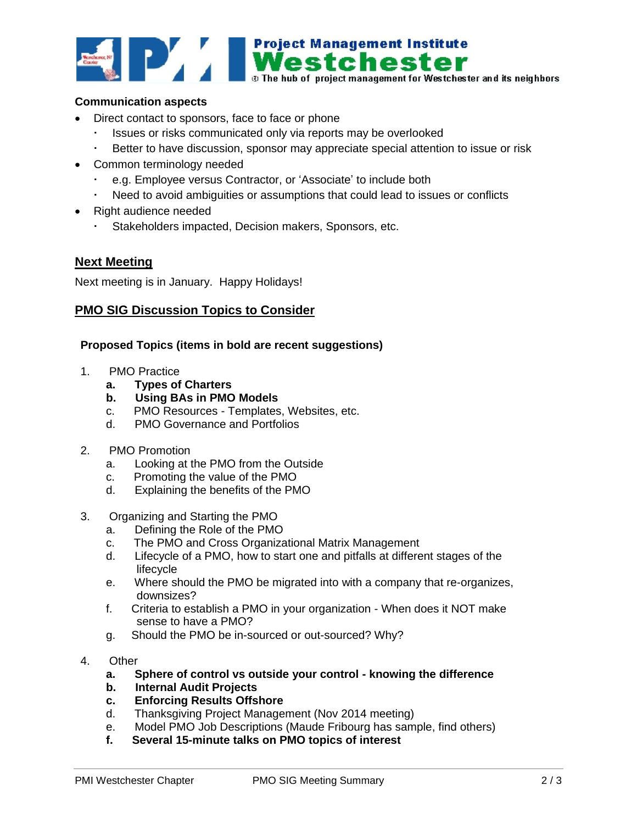

# **Communication aspects**

- Direct contact to sponsors, face to face or phone
	- Issues or risks communicated only via reports may be overlooked
	- Better to have discussion, sponsor may appreciate special attention to issue or risk
- Common terminology needed
	- e.g. Employee versus Contractor, or 'Associate' to include both
	- Need to avoid ambiguities or assumptions that could lead to issues or conflicts
- Right audience needed
	- Stakeholders impacted, Decision makers, Sponsors, etc.

# **Next Meeting**

Next meeting is in January. Happy Holidays!

#### **PMO SIG Discussion Topics to Consider**

#### **Proposed Topics (items in bold are recent suggestions)**

- 1. PMO Practice
	- **a. Types of Charters**
	- **b. Using BAs in PMO Models**
	- c. PMO Resources Templates, Websites, etc.
	- d. PMO Governance and Portfolios
- 2. PMO Promotion
	- a. Looking at the PMO from the Outside
	- c. Promoting the value of the PMO
	- d. Explaining the benefits of the PMO
- 3. Organizing and Starting the PMO
	- a. Defining the Role of the PMO
	- c. The PMO and Cross Organizational Matrix Management
	- d. Lifecycle of a PMO, how to start one and pitfalls at different stages of the lifecycle
	- e. Where should the PMO be migrated into with a company that re-organizes, downsizes?
	- f. Criteria to establish a PMO in your organization When does it NOT make sense to have a PMO?
	- g. Should the PMO be in-sourced or out-sourced? Why?
- 4. Other
	- **a. Sphere of control vs outside your control - knowing the difference**
	- **b. Internal Audit Projects**
	- **c. Enforcing Results Offshore**
	- d. Thanksgiving Project Management (Nov 2014 meeting)
	- e. Model PMO Job Descriptions (Maude Fribourg has sample, find others)
	- **f. Several 15-minute talks on PMO topics of interest**